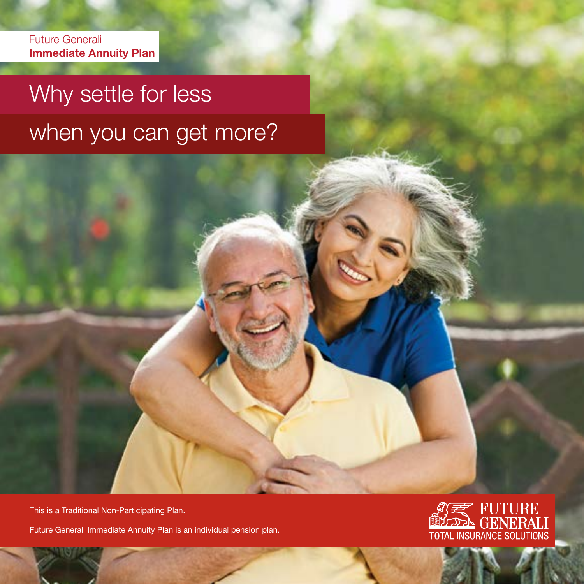Future Generali Immediate Annuity Plan

# Why settle for less when you can get more?

This is a Traditional Non-Participating Plan.

Future Generali Immediate Annuity Plan is an individual pension plan.

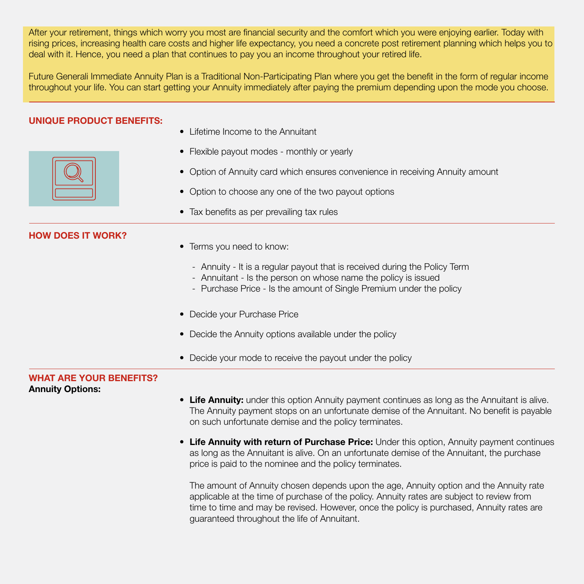After your retirement, things which worry you most are financial security and the comfort which you were enjoying earlier. Today with rising prices, increasing health care costs and higher life expectancy, you need a concrete post retirement planning which helps you to deal with it. Hence, you need a plan that continues to pay you an income throughout your retired life.

Future Generali Immediate Annuity Plan is a Traditional Non-Participating Plan where you get the benefit in the form of regular income throughout your life. You can start getting your Annuity immediately after paying the premium depending upon the mode you choose.

#### UNIQUE PRODUCT BENEFITS:

HOW DOES IT WORK?

- Lifetime Income to the Annuitant
- Flexible payout modes monthly or yearly
- Option of Annuity card which ensures convenience in receiving Annuity amount
- Option to choose any one of the two payout options
- Tax benefits as per prevailing tax rules

| <b>HUW DUES II WURK?</b>                                  | • Terms you need to know:                                                                                                                                                                                                                                                         |
|-----------------------------------------------------------|-----------------------------------------------------------------------------------------------------------------------------------------------------------------------------------------------------------------------------------------------------------------------------------|
|                                                           | - Annuity - It is a regular payout that is received during the Policy Term<br>- Annuitant - Is the person on whose name the policy is issued<br>- Purchase Price - Is the amount of Single Premium under the policy                                                               |
|                                                           | • Decide your Purchase Price                                                                                                                                                                                                                                                      |
|                                                           | Decide the Annuity options available under the policy                                                                                                                                                                                                                             |
|                                                           | Decide your mode to receive the payout under the policy                                                                                                                                                                                                                           |
| <b>WHAT ARE YOUR BENEFITS?</b><br><b>Annuity Options:</b> |                                                                                                                                                                                                                                                                                   |
|                                                           | • Life Annuity: under this option Annuity payment continues as long as the Annuitant is alive.<br>The Annuity payment stops on an unfortunate demise of the Annuitant. No benefit is payable<br>on such unfortunate demise and the policy terminates.                             |
|                                                           | • Life Annuity with return of Purchase Price: Under this option, Annuity payment continues<br>as long as the Annuitant is alive. On an unfortunate demise of the Annuitant, the purchase<br>price is paid to the nominee and the policy terminates.                               |
|                                                           | The amount of Annuity chosen depends upon the age, Annuity option and the Annuity rate<br>applicable at the time of purchase of the policy. Annuity rates are subject to review from<br>time to time and may be revised. However, once the policy is purchased, Annuity rates are |

guaranteed throughout the life of Annuitant.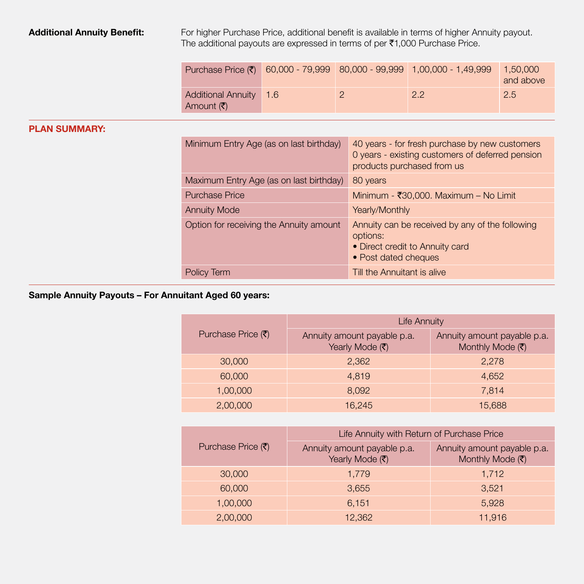Additional Annuity Benefit: For higher Purchase Price, additional benefit is available in terms of higher Annuity payout. The additional payouts are expressed in terms of per  $\bar{\tau}$ 1,000 Purchase Price.

|                                                             |  | Purchase Price $(\bar{\tau})$ 60,000 - 79,999 80,000 - 99,999 1,00,000 - 1,49,999 | 1.50.000<br>and above |
|-------------------------------------------------------------|--|-----------------------------------------------------------------------------------|-----------------------|
| Additional Annuity 1.6<br>Amount $(\bar{\bar{\mathbf{z}}})$ |  | 2.2                                                                               | 2.5                   |

### PLAN SUMMARY:

| Minimum Entry Age (as on last birthday) | 40 years - for fresh purchase by new customers<br>0 years - existing customers of deferred pension<br>products purchased from us |
|-----------------------------------------|----------------------------------------------------------------------------------------------------------------------------------|
| Maximum Entry Age (as on last birthday) | 80 years                                                                                                                         |
| <b>Purchase Price</b>                   | Minimum - ₹30,000. Maximum - No Limit                                                                                            |
| <b>Annuity Mode</b>                     | Yearly/Monthly                                                                                                                   |
| Option for receiving the Annuity amount | Annuity can be received by any of the following<br>options:<br>• Direct credit to Annuity card<br>• Post dated cheques           |
| Policy Term                             | Till the Annuitant is alive                                                                                                      |

## Sample Annuity Payouts – For Annuitant Aged 60 years:

|                                          | <b>Life Annuity</b>                            |                                                 |  |
|------------------------------------------|------------------------------------------------|-------------------------------------------------|--|
| Purchase Price $(\overline{\mathbf{z}})$ | Annuity amount payable p.a.<br>Yearly Mode (そ) | Annuity amount payable p.a.<br>Monthly Mode (₹) |  |
| 30,000                                   | 2.362                                          | 2.278                                           |  |
| 60,000                                   | 4.819                                          | 4,652                                           |  |
| 1.00.000                                 | 8.092                                          | 7.814                                           |  |
| 2,00,000                                 | 16.245                                         | 15,688                                          |  |

|                                          | Life Annuity with Return of Purchase Price     |                                                 |  |
|------------------------------------------|------------------------------------------------|-------------------------------------------------|--|
| Purchase Price $(\overline{\mathbf{z}})$ | Annuity amount payable p.a.<br>Yearly Mode (₹) | Annuity amount payable p.a.<br>Monthly Mode (₹) |  |
| 30,000                                   | 1.779                                          | 1,712                                           |  |
| 60,000                                   | 3.655                                          | 3,521                                           |  |
| 1,00,000                                 | 6.151                                          | 5.928                                           |  |
| 2,00,000                                 | 12,362                                         | 11,916                                          |  |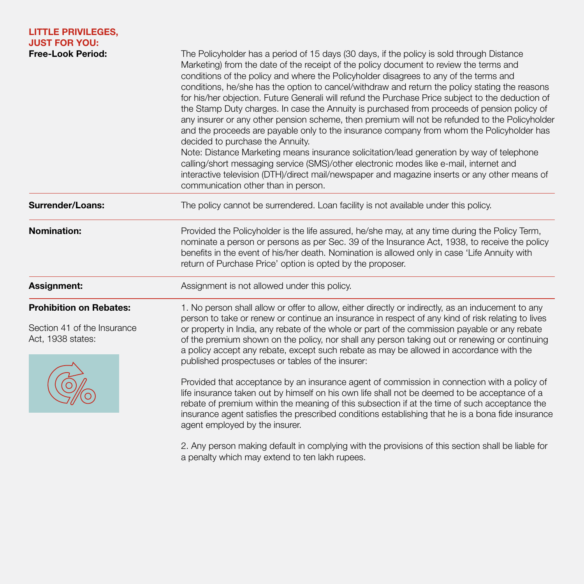| <b>LITTLE PRIVILEGES,</b><br><b>JUST FOR YOU:</b><br><b>Free-Look Period:</b>      | The Policyholder has a period of 15 days (30 days, if the policy is sold through Distance<br>Marketing) from the date of the receipt of the policy document to review the terms and<br>conditions of the policy and where the Policyholder disagrees to any of the terms and<br>conditions, he/she has the option to cancel/withdraw and return the policy stating the reasons<br>for his/her objection. Future Generali will refund the Purchase Price subject to the deduction of<br>the Stamp Duty charges. In case the Annuity is purchased from proceeds of pension policy of<br>any insurer or any other pension scheme, then premium will not be refunded to the Policyholder<br>and the proceeds are payable only to the insurance company from whom the Policyholder has<br>decided to purchase the Annuity.<br>Note: Distance Marketing means insurance solicitation/lead generation by way of telephone<br>calling/short messaging service (SMS)/other electronic modes like e-mail, internet and<br>interactive television (DTH)/direct mail/newspaper and magazine inserts or any other means of<br>communication other than in person. |  |
|------------------------------------------------------------------------------------|------------------------------------------------------------------------------------------------------------------------------------------------------------------------------------------------------------------------------------------------------------------------------------------------------------------------------------------------------------------------------------------------------------------------------------------------------------------------------------------------------------------------------------------------------------------------------------------------------------------------------------------------------------------------------------------------------------------------------------------------------------------------------------------------------------------------------------------------------------------------------------------------------------------------------------------------------------------------------------------------------------------------------------------------------------------------------------------------------------------------------------------------------|--|
| <b>Surrender/Loans:</b>                                                            | The policy cannot be surrendered. Loan facility is not available under this policy.                                                                                                                                                                                                                                                                                                                                                                                                                                                                                                                                                                                                                                                                                                                                                                                                                                                                                                                                                                                                                                                                  |  |
| <b>Nomination:</b>                                                                 | Provided the Policyholder is the life assured, he/she may, at any time during the Policy Term,<br>nominate a person or persons as per Sec. 39 of the Insurance Act, 1938, to receive the policy<br>benefits in the event of his/her death. Nomination is allowed only in case 'Life Annuity with<br>return of Purchase Price' option is opted by the proposer.                                                                                                                                                                                                                                                                                                                                                                                                                                                                                                                                                                                                                                                                                                                                                                                       |  |
| Assignment:                                                                        | Assignment is not allowed under this policy.                                                                                                                                                                                                                                                                                                                                                                                                                                                                                                                                                                                                                                                                                                                                                                                                                                                                                                                                                                                                                                                                                                         |  |
| <b>Prohibition on Rebates:</b><br>Section 41 of the Insurance<br>Act, 1938 states: | 1. No person shall allow or offer to allow, either directly or indirectly, as an inducement to any<br>person to take or renew or continue an insurance in respect of any kind of risk relating to lives<br>or property in India, any rebate of the whole or part of the commission payable or any rebate<br>of the premium shown on the policy, nor shall any person taking out or renewing or continuing<br>a policy accept any rebate, except such rebate as may be allowed in accordance with the<br>published prospectuses or tables of the insurer:                                                                                                                                                                                                                                                                                                                                                                                                                                                                                                                                                                                             |  |
|                                                                                    | Provided that acceptance by an insurance agent of commission in connection with a policy of<br>life insurance taken out by himself on his own life shall not be deemed to be acceptance of a<br>rebate of premium within the meaning of this subsection if at the time of such acceptance the<br>insurance agent satisfies the prescribed conditions establishing that he is a bona fide insurance<br>agent employed by the insurer.                                                                                                                                                                                                                                                                                                                                                                                                                                                                                                                                                                                                                                                                                                                 |  |

2. Any person making default in complying with the provisions of this section shall be liable for a penalty which may extend to ten lakh rupees.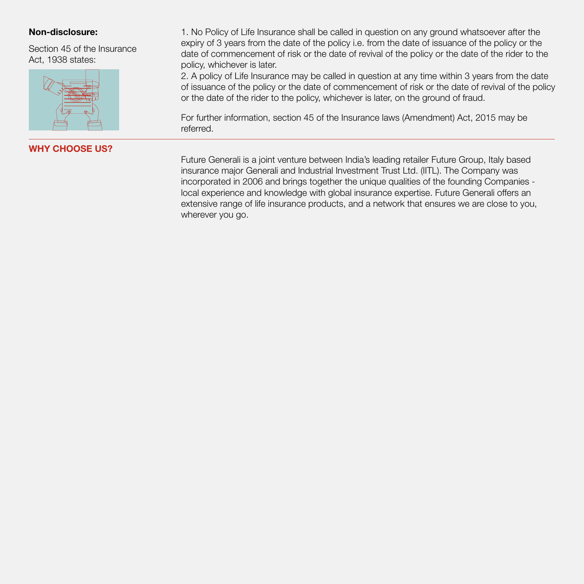Section 45 of the Insurance Act, 1938 states:



WHY CHOOSE US?

Non-disclosure: 1. No Policy of Life Insurance shall be called in question on any ground whatsoever after the expiry of 3 years from the date of the policy i.e. from the date of issuance of the policy or the date of commencement of risk or the date of revival of the policy or the date of the rider to the policy, whichever is later.

> 2. A policy of Life Insurance may be called in question at any time within 3 years from the date of issuance of the policy or the date of commencement of risk or the date of revival of the policy or the date of the rider to the policy, whichever is later, on the ground of fraud.

For further information, section 45 of the Insurance laws (Amendment) Act, 2015 may be referred.

Future Generali is a joint venture between India's leading retailer Future Group, Italy based insurance major Generali and Industrial Investment Trust Ltd. (IITL). The Company was incorporated in 2006 and brings together the unique qualities of the founding Companies local experience and knowledge with global insurance expertise. Future Generali offers an extensive range of life insurance products, and a network that ensures we are close to you, wherever you go.